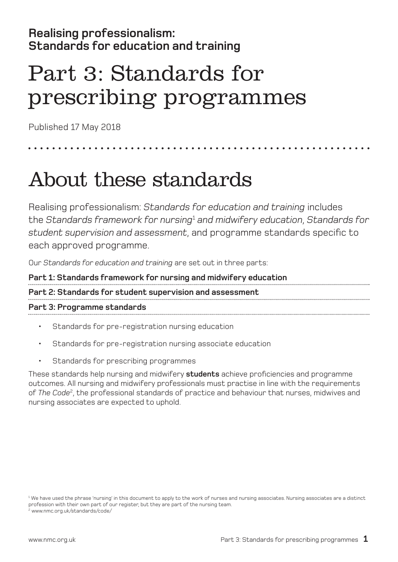### **Realising professionalism: Standards for education and training**

# Part 3: Standards for prescribing programmes

Published 17 May 2018

### About these standards

Realising professionalism: *Standards for education and training* includes the *Standards framework for nursing*<sup>1</sup>  *and midwifery education*, *Standards for student supervision and assessment*, and programme standards specific to each approved programme.

Our *Standards for education and training* are set out in three parts:

**Part 1: Standards framework for nursing and midwifery education Part 2: Standards for student supervision and assessment Part 3: Programme standards** 

- Standards for pre-registration nursing education
- Standards for pre-registration nursing associate education
- Standards for prescribing programmes

These standards help nursing and midwifery **students** achieve proficiencies and programme outcomes. All nursing and midwifery professionals must practise in line with the requirements of *The Code*2, the professional standards of practice and behaviour that nurses, midwives and nursing associates are expected to uphold.

<sup>1</sup> We have used the phrase 'nursing' in this document to apply to the work of nurses and nursing associates. Nursing associates are a distinct profession with their own part of our register, but they are part of the nursing team. 2 www.nmc.org.uk/standards/code/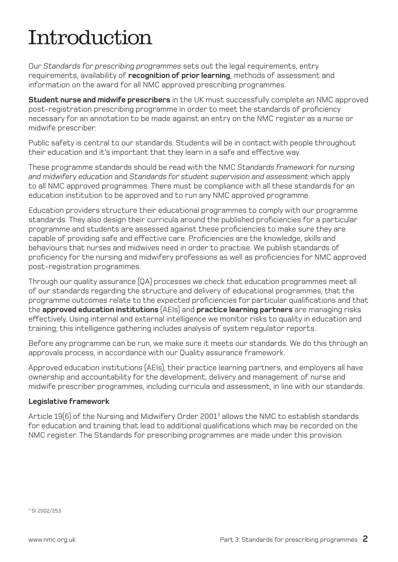# Introduction

Our *Standards for prescribing programmes* sets out the legal requirements, entry requirements, availability of **recognition of prior learning**, methods of assessment and information on the award for all NMC approved prescribing programmes.

**Student nurse and midwife prescribers** in the UK must successfully complete an NMC approved post-registration prescribing programme in order to meet the standards of proficiency necessary for an annotation to be made against an entry on the NMC register as a nurse or midwife prescriber.

Public safety is central to our standards. Students will be in contact with people throughout their education and it's important that they learn in a safe and effective way.

These programme standards should be read with the NMC *Standards framework for nursing and midwifery education* and *Standards for student supervision and assessment* which apply to all NMC approved programmes. There must be compliance with all these standards for an education institution to be approved and to run any NMC approved programme.

Education providers structure their educational programmes to comply with our programme standards. They also design their curricula around the published proficiencies for a particular programme and students are assessed against these proficiencies to make sure they are capable of providing safe and effective care. Proficiencies are the knowledge, skills and behaviours that nurses and midwives need in order to practise. We publish standards of proficiency for the nursing and midwifery professions as well as proficiencies for NMC approved post-registration programmes.

Through our quality assurance (QA) processes we check that education programmes meet all of our standards regarding the structure and delivery of educational programmes, that the programme outcomes relate to the expected proficiencies for particular qualifications and that the **approved education institutions** (AEIs) and **practice learning partners** are managing risks effectively. Using internal and external intelligence we monitor risks to quality in education and training; this intelligence gathering includes analysis of system regulator reports.

Before any programme can be run, we make sure it meets our standards. We do this through an approvals process, in accordance with our Quality assurance framework.

Approved education institutions (AEIs), their practice learning partners, and employers all have ownership and accountability for the development, delivery and management of nurse and midwife prescriber programmes, including curricula and assessment, in line with our standards.

### **Legislative framework**

Article  $19(6)$  of the Nursing and Midwifery Order 2001 $^3$  allows the NMC to establish standards for education and training that lead to additional qualifications which may be recorded on the NMC register. The Standards for prescribing programmes are made under this provision.

3 SI 2002/253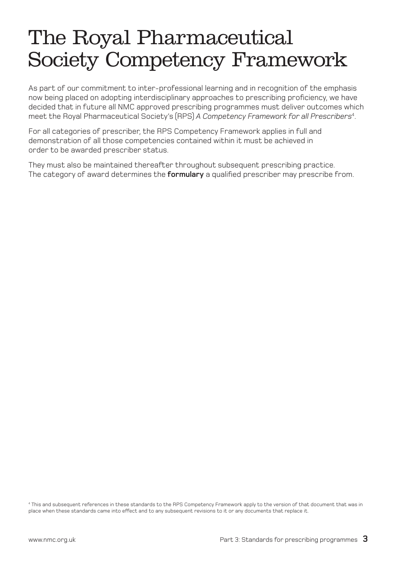### The Royal Pharmaceutical Society Competency Framework

As part of our commitment to inter-professional learning and in recognition of the emphasis now being placed on adopting interdisciplinary approaches to prescribing proficiency, we have decided that in future all NMC approved prescribing programmes must deliver outcomes which meet the Royal Pharmaceutical Society's (RPS) *A Competency Framework for all Prescribers*<sup>4</sup> .

For all categories of prescriber, the RPS Competency Framework applies in full and demonstration of all those competencies contained within it must be achieved in order to be awarded prescriber status.

They must also be maintained thereafter throughout subsequent prescribing practice. The category of award determines the **formulary** a qualified prescriber may prescribe from.

4 This and subsequent references in these standards to the RPS Competency Framework apply to the version of that document that was in place when these standards came into effect and to any subsequent revisions to it or any documents that replace it.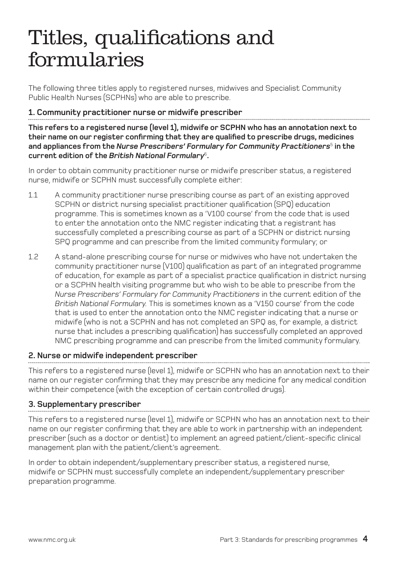### Titles, qualifications and formularies

The following three titles apply to registered nurses, midwives and Specialist Community Public Health Nurses (SCPHNs) who are able to prescribe.

### **1. Community practitioner nurse or midwife prescriber**

**This refers to a registered nurse (level 1), midwife or SCPHN who has an annotation next to their name on our register confirming that they are qualified to prescribe drugs, medicines**  and appliances from the *Nurse Prescribers' Formulary for Community Practitioners*<sup>5</sup> in the **current edition of the** *British National Formulary*<sup>6</sup>**.**

In order to obtain community practitioner nurse or midwife prescriber status, a registered nurse, midwife or SCPHN must successfully complete either:

- 1.1 A community practitioner nurse prescribing course as part of an existing approved SCPHN or district nursing specialist practitioner qualification (SPQ) education programme. This is sometimes known as a 'V100 course' from the code that is used to enter the annotation onto the NMC register indicating that a registrant has successfully completed a prescribing course as part of a SCPHN or district nursing SPQ programme and can prescribe from the limited community formulary; or
- 1.2 A stand-alone prescribing course for nurse or midwives who have not undertaken the community practitioner nurse (V100) qualification as part of an integrated programme of education, for example as part of a specialist practice qualification in district nursing or a SCPHN health visiting programme but who wish to be able to prescribe from the *Nurse Prescribers' Formulary for Community Practitioners* in the current edition of the *British National Formulary.* This is sometimes known as a 'V150 course' from the code that is used to enter the annotation onto the NMC register indicating that a nurse or midwife (who is not a SCPHN and has not completed an SPQ as, for example, a district nurse that includes a prescribing qualification) has successfully completed an approved NMC prescribing programme and can prescribe from the limited community formulary.

### **2. Nurse or midwife independent prescriber**

This refers to a registered nurse (level 1), midwife or SCPHN who has an annotation next to their name on our register confirming that they may prescribe any medicine for any medical condition within their competence (with the exception of certain controlled drugs).

### **3. Supplementary prescriber**

This refers to a registered nurse (level 1), midwife or SCPHN who has an annotation next to their name on our register confirming that they are able to work in partnership with an independent prescriber (such as a doctor or dentist) to implement an agreed patient/client-specific clinical management plan with the patient/client's agreement.

In order to obtain independent/supplementary prescriber status, a registered nurse, midwife or SCPHN must successfully complete an independent/supplementary prescriber preparation programme.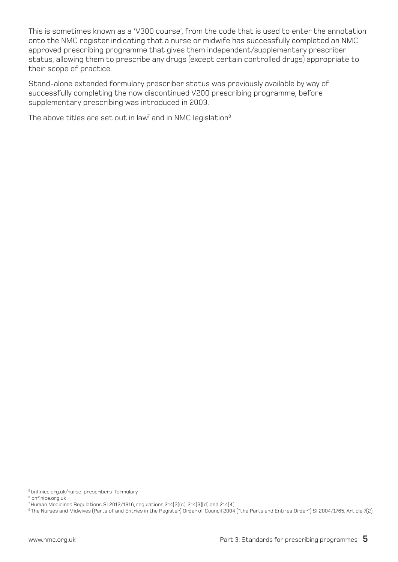This is sometimes known as a 'V300 course', from the code that is used to enter the annotation onto the NMC register indicating that a nurse or midwife has successfully completed an NMC approved prescribing programme that gives them independent/supplementary prescriber status, allowing them to prescribe any drugs (except certain controlled drugs) appropriate to their scope of practice.

Stand-alone extended formulary prescriber status was previously available by way of successfully completing the now discontinued V200 prescribing programme, before supplementary prescribing was introduced in 2003.

The above titles are set out in law $\bar{q}$  and in NMC legislation $^8$ .

<sup>5</sup> bnf.nice.org.uk/nurse-prescribers-formulary

<sup>6</sup> bnf.nice.org.uk

<sup>7</sup> Human Medicines Regulations SI 2012/1916, regulations 214(3)(c), 214(3)(d) and 214(4).

<sup>&</sup>lt;sup>8</sup> The Nurses and Midwives (Parts of and Entries in the Register) Order of Council 2004 ("the Parts and Entries Order") SI 2004/1765, Article 7(2).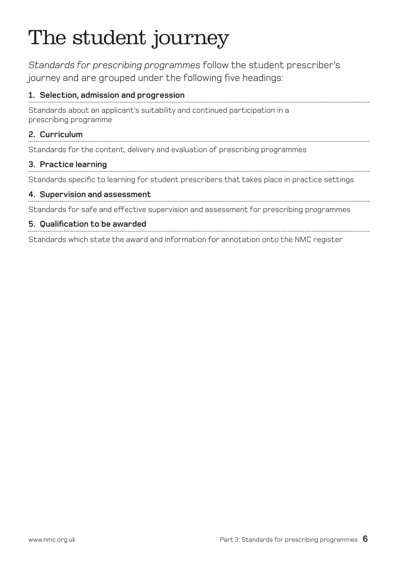# The student journey

*Standards for prescribing programmes* follow the student prescriber's journey and are grouped under the following five headings:

### **1. Selection, admission and progression**

Standards about an applicant's suitability and continued participation in a prescribing programme

### **2. Curriculum**

Standards for the content, delivery and evaluation of prescribing programmes

### **3. Practice learning**

Standards specific to learning for student prescribers that takes place in practice settings

### **4. Supervision and assessment**

Standards for safe and effective supervision and assessment for prescribing programmes

### **5. Qualification to be awarded**

Standards which state the award and information for annotation onto the NMC register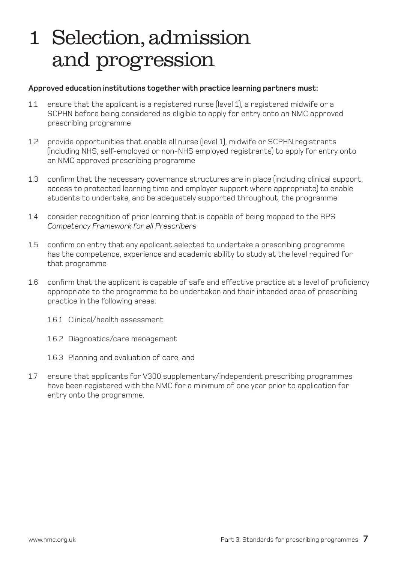### 1 Selection,admission and progression

#### **Approved education institutions together with practice learning partners must:**

- 1.1 ensure that the applicant is a registered nurse (level 1), a registered midwife or a SCPHN before being considered as eligible to apply for entry onto an NMC approved prescribing programme
- 1.2 provide opportunities that enable all nurse (level 1), midwife or SCPHN registrants (including NHS, self-employed or non-NHS employed registrants) to apply for entry onto an NMC approved prescribing programme
- 1.3 confirm that the necessary governance structures are in place (including clinical support, access to protected learning time and employer support where appropriate) to enable students to undertake, and be adequately supported throughout, the programme
- 1.4 consider recognition of prior learning that is capable of being mapped to the RPS *Competency Framework for all Prescribers*
- 1.5 confirm on entry that any applicant selected to undertake a prescribing programme has the competence, experience and academic ability to study at the level required for that programme
- 1.6 confirm that the applicant is capable of safe and effective practice at a level of proficiency appropriate to the programme to be undertaken and their intended area of prescribing practice in the following areas:
	- 1.6.1 Clinical/health assessment
	- 1.6.2 Diagnostics/care management
	- 1.6.3 Planning and evaluation of care, and
- 1.7 ensure that applicants for V300 supplementary/independent prescribing programmes have been registered with the NMC for a minimum of one year prior to application for entry onto the programme.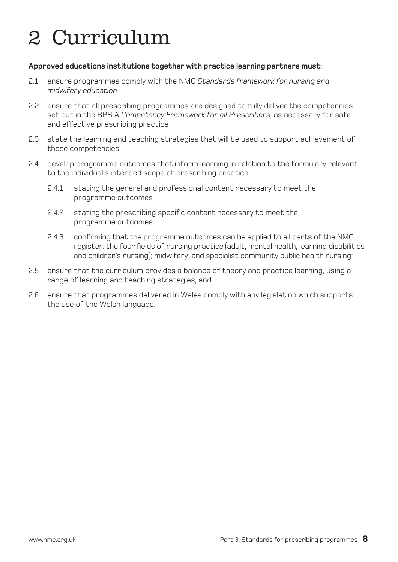# 2 Curriculum

#### **Approved educations institutions together with practice learning partners must:**

- 2.1 ensure programmes comply with the NMC *Standards framework for nursing and midwifery education*
- 2.2 ensure that all prescribing programmes are designed to fully deliver the competencies set out in the RPS A *Competency Framework for all Prescribers*, as necessary for safe and effective prescribing practice
- 2.3 state the learning and teaching strategies that will be used to support achievement of those competencies
- 2.4 develop programme outcomes that inform learning in relation to the formulary relevant to the individual's intended scope of prescribing practice:
	- 2.4.1 stating the general and professional content necessary to meet the programme outcomes
	- 2.4.2 stating the prescribing specific content necessary to meet the programme outcomes
	- 2.4.3 confirming that the programme outcomes can be applied to all parts of the NMC register: the four fields of nursing practice (adult, mental health, learning disabilities and children's nursing); midwifery; and specialist community public health nursing;
- 2.5 ensure that the curriculum provides a balance of theory and practice learning, using a range of learning and teaching strategies, and
- 2.6 ensure that programmes delivered in Wales comply with any legislation which supports the use of the Welsh language.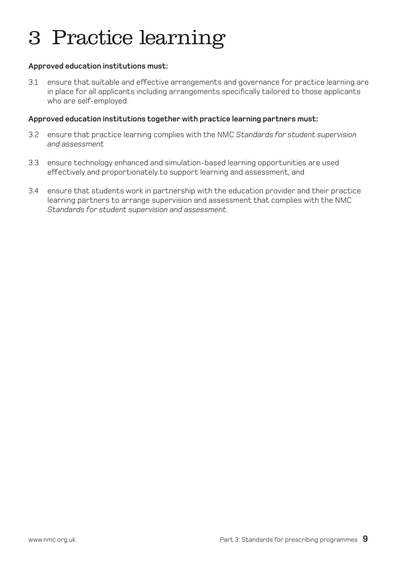# 3 Practice learning

### **Approved education institutions must:**

3.1 ensure that suitable and effective arrangements and governance for practice learning are in place for all applicants including arrangements specifically tailored to those applicants who are self-employed.

#### **Approved education institutions together with practice learning partners must:**

- 3.2 ensure that practice learning complies with the NMC *Standards for student supervision and assessment*
- 3.3 ensure technology enhanced and simulation-based learning opportunities are used effectively and proportionately to support learning and assessment, and
- 3.4 ensure that students work in partnership with the education provider and their practice learning partners to arrange supervision and assessment that complies with the NMC *Standards for student supervision and assessment*.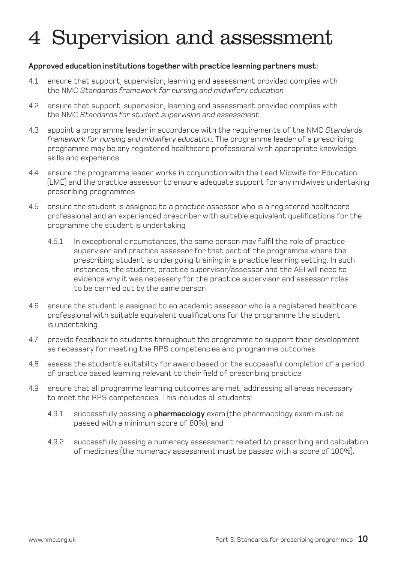# 4 Supervision and assessment

### **Approved education institutions together with practice learning partners must:**

- 4.1 ensure that support, supervision, learning and assessment provided complies with the NMC *Standards framework for nursing and midwifery education*
- 4.2 ensure that support, supervision, learning and assessment provided complies with the NMC *Standards for student supervision and assessment*
- 4.3 appoint a programme leader in accordance with the requirements of the NMC *Standards framework for nursing and midwifery education*. The programme leader of a prescribing programme may be any registered healthcare professional with appropriate knowledge, skills and experience
- 4.4 ensure the programme leader works in conjunction with the Lead Midwife for Education (LME) and the practice assessor to ensure adequate support for any midwives undertaking prescribing programmes
- 4.5 ensure the student is assigned to a practice assessor who is a registered healthcare professional and an experienced prescriber with suitable equivalent qualifications for the programme the student is undertaking
	- 4.5.1 In exceptional circumstances, the same person may fulfil the role of practice supervisor and practice assessor for that part of the programme where the prescribing student is undergoing training in a practice learning setting. In such instances, the student, practice supervisor/assessor and the AEI will need to evidence why it was necessary for the practice supervisor and assessor roles to be carried out by the same person
- 4.6 ensure the student is assigned to an academic assessor who is a registered healthcare professional with suitable equivalent qualifications for the programme the student is undertaking
- 4.7 provide feedback to students throughout the programme to support their development as necessary for meeting the RPS competencies and programme outcomes
- 4.8 assess the student's suitability for award based on the successful completion of a period of practice based learning relevant to their field of prescribing practice
- 4.9 ensure that all programme learning outcomes are met, addressing all areas necessary to meet the RPS competencies. This includes all students:
	- 4.9.1 successfully passing a **pharmacology** exam (the pharmacology exam must be passed with a minimum score of 80%), and
	- 4.9.2 successfully passing a numeracy assessment related to prescribing and calculation of medicines (the numeracy assessment must be passed with a score of 100%).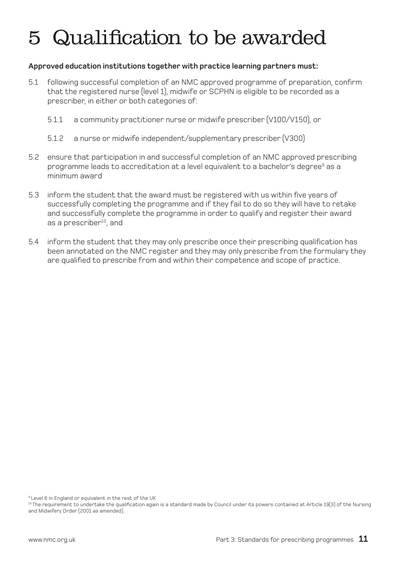# 5 Qualification to be awarded

### **Approved education institutions together with practice learning partners must:**

- 5.1 following successful completion of an NMC approved programme of preparation, confirm that the registered nurse (level 1), midwife or SCPHN is eligible to be recorded as a prescriber, in either or both categories of:
	- 5.1.1 a community practitioner nurse or midwife prescriber (V100/V150), or
	- 5.1.2 a nurse or midwife independent/supplementary prescriber (V300)
- 5.2 ensure that participation in and successful completion of an NMC approved prescribing programme leads to accreditation at a level equivalent to a bachelor's degree<sup>9</sup> as a minimum award
- 5.3 inform the student that the award must be registered with us within five years of successfully completing the programme and if they fail to do so they will have to retake and successfully complete the programme in order to qualify and register their award as a prescriber<sup>10</sup>, and
- 5.4 inform the student that they may only prescribe once their prescribing qualification has been annotated on the NMC register and they may only prescribe from the formulary they are qualified to prescribe from and within their competence and scope of practice.

9 Level 6 in England or equivalent in the rest of the UK

<sup>10</sup> The requirement to undertake the qualification again is a standard made by Council under its powers contained at Article 19(3) of the Nursing and Midwifery Order (2001 as amended).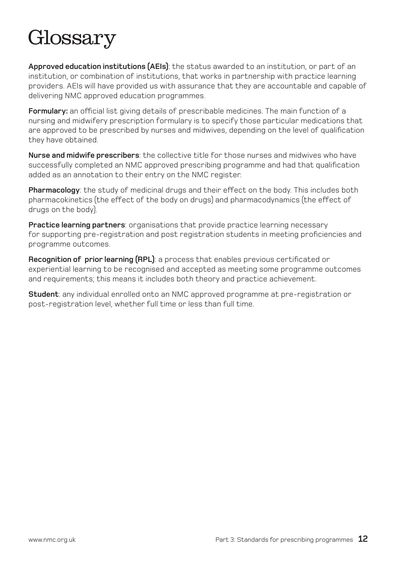# Glossary

**Approved education institutions (AEIs)**: the status awarded to an institution, or part of an institution, or combination of institutions, that works in partnership with practice learning providers. AEIs will have provided us with assurance that they are accountable and capable of delivering NMC approved education programmes.

**Formulary:** an official list giving details of prescribable medicines. The main function of a nursing and midwifery prescription formulary is to specify those particular medications that are approved to be prescribed by nurses and midwives, depending on the level of qualification they have obtained.

**Nurse and midwife prescribers**: the collective title for those nurses and midwives who have successfully completed an NMC approved prescribing programme and had that qualification added as an annotation to their entry on the NMC register.

**Pharmacology**: the study of medicinal drugs and their effect on the body. This includes both pharmacokinetics (the effect of the body on drugs) and pharmacodynamics (the effect of drugs on the body).

**Practice learning partners**: organisations that provide practice learning necessary for supporting pre-registration and post registration students in meeting proficiencies and programme outcomes.

**Recognition of prior learning (RPL)**: a process that enables previous certificated or experiential learning to be recognised and accepted as meeting some programme outcomes and requirements; this means it includes both theory and practice achievement.

**Student**: any individual enrolled onto an NMC approved programme at pre-registration or post-registration level, whether full time or less than full time.